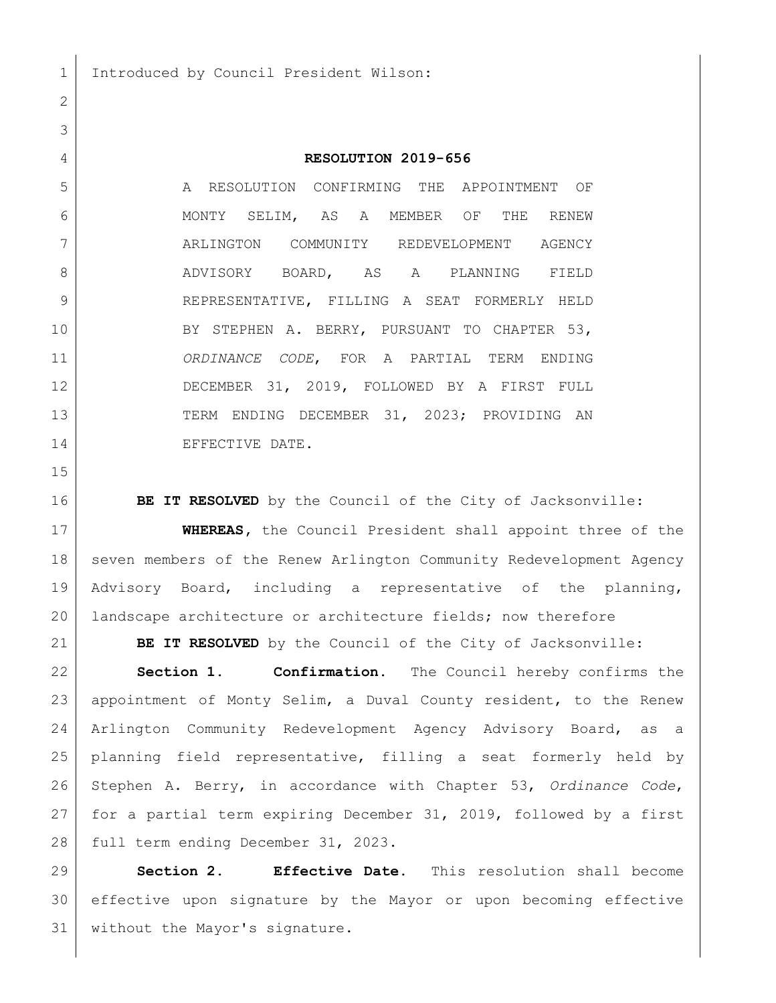## **RESOLUTION 2019-656**

 A RESOLUTION CONFIRMING THE APPOINTMENT OF 6 MONTY SELIM, AS A MEMBER OF THE RENEW ARLINGTON COMMUNITY REDEVELOPMENT AGENCY 8 ADVISORY BOARD, AS A PLANNING FIELD 9 REPRESENTATIVE, FILLING A SEAT FORMERLY HELD BY STEPHEN A. BERRY, PURSUANT TO CHAPTER 53, *ORDINANCE CODE*, FOR A PARTIAL TERM ENDING DECEMBER 31, 2019, FOLLOWED BY A FIRST FULL 13 TERM ENDING DECEMBER 31, 2023; PROVIDING AN 14 EFFECTIVE DATE.

**BE IT RESOLVED** by the Council of the City of Jacksonville:

 **WHEREAS,** the Council President shall appoint three of the 18 | seven members of the Renew Arlington Community Redevelopment Agency Advisory Board, including a representative of the planning, 20 | landscape architecture or architecture fields; now therefore

**BE IT RESOLVED** by the Council of the City of Jacksonville:

 **Section 1. Confirmation.** The Council hereby confirms the appointment of Monty Selim, a Duval County resident, to the Renew Arlington Community Redevelopment Agency Advisory Board, as a planning field representative, filling a seat formerly held by Stephen A. Berry, in accordance with Chapter 53, *Ordinance Code*, for a partial term expiring December 31, 2019, followed by a first 28 full term ending December 31, 2023.

 **Section 2. Effective Date.** This resolution shall become effective upon signature by the Mayor or upon becoming effective 31 | without the Mayor's signature.